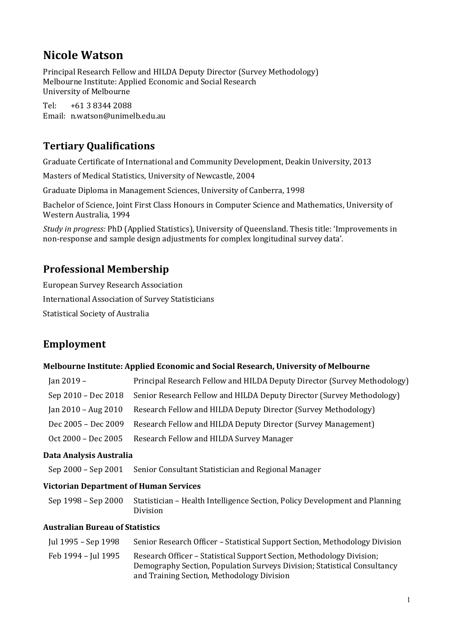# Nicole Watson

Principal Research Fellow and HILDA Deputy Director (Survey Methodology) Melbourne Institute: Applied Economic and Social Research University of Melbourne

Tel: +61 3 8344 2088 Email: n.watson@unimelb.edu.au

# Tertiary Qualifications

Graduate Certificate of International and Community Development, Deakin University, 2013

Masters of Medical Statistics, University of Newcastle, 2004

Graduate Diploma in Management Sciences, University of Canberra, 1998

Bachelor of Science, Joint First Class Honours in Computer Science and Mathematics, University of Western Australia, 1994

Study in progress: PhD (Applied Statistics), University of Queensland. Thesis title: 'Improvements in non-response and sample design adjustments for complex longitudinal survey data'.

# Professional Membership

European Survey Research Association International Association of Survey Statisticians Statistical Society of Australia

# Employment

#### Melbourne Institute: Applied Economic and Social Research, University of Melbourne

| $\tan 2019 -$       | Principal Research Fellow and HILDA Deputy Director (Survey Methodology)                  |
|---------------------|-------------------------------------------------------------------------------------------|
|                     | Sep 2010 – Dec 2018 Senior Research Fellow and HILDA Deputy Director (Survey Methodology) |
| Jan 2010 – Aug 2010 | Research Fellow and HILDA Deputy Director (Survey Methodology)                            |
| Dec 2005 - Dec 2009 | Research Fellow and HILDA Deputy Director (Survey Management)                             |
| Oct 2000 – Dec 2005 | Research Fellow and HILDA Survey Manager                                                  |

#### Data Analysis Australia

Sep 2000 – Sep 2001 Senior Consultant Statistician and Regional Manager

## Victorian Department of Human Services

| Sep 1998 – Sep 2000 Statistician – Health Intelligence Section, Policy Development and Planning |
|-------------------------------------------------------------------------------------------------|
| <b>Division</b>                                                                                 |

#### Australian Bureau of Statistics

| Jul 1995 – Sep 1998 | Senior Research Officer – Statistical Support Section, Methodology Division                                                                                                                     |
|---------------------|-------------------------------------------------------------------------------------------------------------------------------------------------------------------------------------------------|
| Feb 1994 - Jul 1995 | Research Officer - Statistical Support Section, Methodology Division;<br>Demography Section, Population Surveys Division; Statistical Consultancy<br>and Training Section, Methodology Division |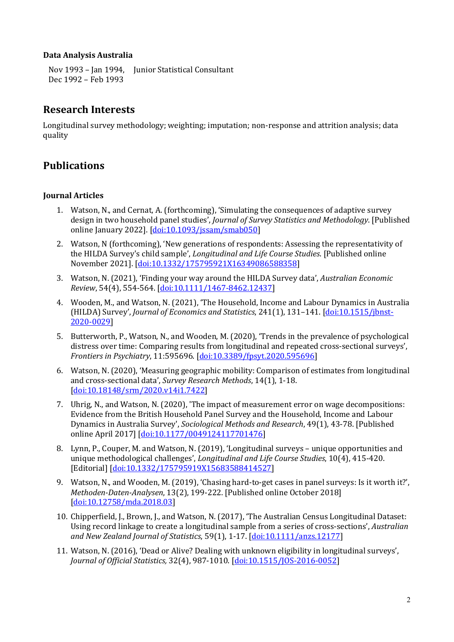#### Data Analysis Australia

Nov 1993 – Jan 1994, Junior Statistical Consultant Dec 1992 – Feb 1993

## Research Interests

Longitudinal survey methodology; weighting; imputation; non-response and attrition analysis; data quality

# Publications

### Journal Articles

- 1. Watson, N., and Cernat, A. (forthcoming), 'Simulating the consequences of adaptive survey design in two household panel studies', Journal of Survey Statistics and Methodology. [Published online January 2022]. [doi:10.1093/jssam/smab050]
- 2. Watson, N (forthcoming), 'New generations of respondents: Assessing the representativity of the HILDA Survey's child sample', Longitudinal and Life Course Studies. [Published online November 2021]. [doi:10.1332/175795921X16349086588358]
- 3. Watson, N. (2021), 'Finding your way around the HILDA Survey data', Australian Economic Review, 54(4), 554-564. [doi:10.1111/1467-8462.12437]
- 4. Wooden, M., and Watson, N. (2021), 'The Household, Income and Labour Dynamics in Australia (HILDA) Survey', Journal of Economics and Statistics, 241(1), 131-141. [doi:10.1515/jbnst-2020-0029]
- 5. Butterworth, P., Watson, N., and Wooden, M. (2020), 'Trends in the prevalence of psychological distress over time: Comparing results from longitudinal and repeated cross-sectional surveys', Frontiers in Psychiatry, 11:595696. [doi:10.3389/fpsyt.2020.595696]
- 6. Watson, N. (2020), 'Measuring geographic mobility: Comparison of estimates from longitudinal and cross-sectional data', Survey Research Methods, 14(1), 1-18. [doi:10.18148/srm/2020.v14i1.7422]
- 7. Uhrig, N., and Watson, N. (2020), 'The impact of measurement error on wage decompositions: Evidence from the British Household Panel Survey and the Household, Income and Labour Dynamics in Australia Survey', Sociological Methods and Research, 49(1), 43-78. [Published online April 2017] [doi:10.1177/0049124117701476]
- 8. Lynn, P., Couper, M. and Watson, N. (2019), 'Longitudinal surveys unique opportunities and unique methodological challenges', Longitudinal and Life Course Studies, 10(4), 415-420. [Editorial] [doi:10.1332/175795919X15683588414527]
- 9. Watson, N., and Wooden, M. (2019), 'Chasing hard-to-get cases in panel surveys: Is it worth it?', Methoden-Daten-Analysen, 13(2), 199-222. [Published online October 2018] [doi:10.12758/mda.2018.03]
- 10. Chipperfield, J., Brown, J., and Watson, N. (2017), 'The Australian Census Longitudinal Dataset: Using record linkage to create a longitudinal sample from a series of cross-sections', Australian and New Zealand Journal of Statistics, 59(1), 1-17. [doi:10.1111/anzs.12177]
- 11. Watson, N. (2016), 'Dead or Alive? Dealing with unknown eligibility in longitudinal surveys', Journal of Official Statistics, 32(4), 987-1010. [doi:10.1515/JOS-2016-0052]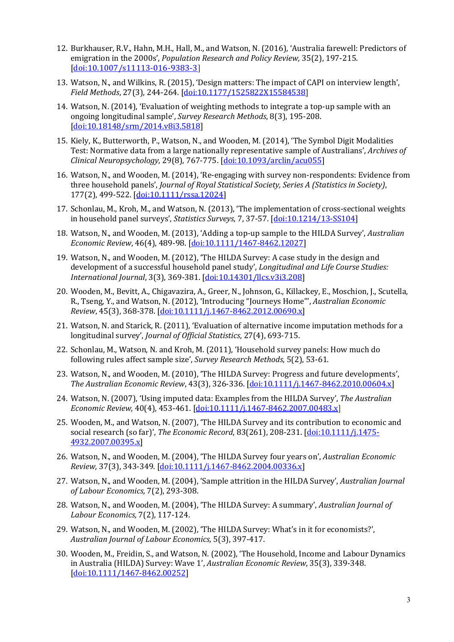- 12. Burkhauser, R.V., Hahn, M.H., Hall, M., and Watson, N. (2016), 'Australia farewell: Predictors of emigration in the 2000s', Population Research and Policy Review, 35(2), 197-215. [doi:10.1007/s11113-016-9383-3]
- 13. Watson, N., and Wilkins, R. (2015), 'Design matters: The impact of CAPI on interview length', Field Methods, 27(3), 244-264. [doi:10.1177/1525822X15584538]
- 14. Watson, N. (2014), 'Evaluation of weighting methods to integrate a top-up sample with an ongoing longitudinal sample', Survey Research Methods, 8(3), 195-208. [doi:10.18148/srm/2014.v8i3.5818]
- 15. Kiely, K., Butterworth, P., Watson, N., and Wooden, M. (2014), 'The Symbol Digit Modalities Test: Normative data from a large nationally representative sample of Australians', Archives of Clinical Neuropsychology, 29(8), 767-775. [doi:10.1093/arclin/acu055]
- 16. Watson, N., and Wooden, M. (2014), 'Re-engaging with survey non-respondents: Evidence from three household panels', Journal of Royal Statistical Society, Series A (Statistics in Society), 177(2), 499-522. [doi:10.1111/rssa.12024]
- 17. Schonlau, M., Kroh, M., and Watson, N. (2013), 'The implementation of cross-sectional weights in household panel surveys', Statistics Surveys, 7, 37-57. [doi:10.1214/13-SS104]
- 18. Watson, N., and Wooden, M. (2013), 'Adding a top-up sample to the HILDA Survey', Australian Economic Review, 46(4), 489-98. [doi:10.1111/1467-8462.12027]
- 19. Watson, N., and Wooden, M. (2012), 'The HILDA Survey: A case study in the design and development of a successful household panel study', *Longitudinal and Life Course Studies:* International Journal, 3(3), 369-381. [doi:10.14301/llcs.v3i3.208]
- 20. Wooden, M., Bevitt, A., Chigavazira, A., Greer, N., Johnson, G., Killackey, E., Moschion, J., Scutella, R., Tseng, Y., and Watson, N. (2012), 'Introducing "Journeys Home"', Australian Economic Review, 45(3), 368-378. [doi:10.1111/j.1467-8462.2012.00690.x]
- 21. Watson, N. and Starick, R. (2011), 'Evaluation of alternative income imputation methods for a longitudinal survey', Journal of Official Statistics, 27(4), 693-715.
- 22. Schonlau, M., Watson, N. and Kroh, M. (2011), 'Household survey panels: How much do following rules affect sample size', Survey Research Methods, 5(2), 53-61.
- 23. Watson, N., and Wooden, M. (2010), 'The HILDA Survey: Progress and future developments', The Australian Economic Review, 43(3), 326-336. [doi:10.1111/j.1467-8462.2010.00604.x]
- 24. Watson, N. (2007), 'Using imputed data: Examples from the HILDA Survey', The Australian Economic Review, 40(4), 453-461. [doi:10.1111/j.1467-8462.2007.00483.x]
- 25. Wooden, M., and Watson, N. (2007), 'The HILDA Survey and its contribution to economic and social research (so far)', The Economic Record, 83(261), 208-231. [doi:10.1111/j.1475-4932.2007.00395.x]
- 26. Watson, N., and Wooden, M. (2004), 'The HILDA Survey four years on', Australian Economic Review, 37(3), 343-349. [doi:10.1111/j.1467-8462.2004.00336.x]
- 27. Watson, N., and Wooden, M. (2004), 'Sample attrition in the HILDA Survey', Australian Journal of Labour Economics, 7(2), 293-308.
- 28. Watson, N., and Wooden, M. (2004), 'The HILDA Survey: A summary', Australian Journal of Labour Economics, 7(2), 117-124.
- 29. Watson, N., and Wooden, M. (2002), 'The HILDA Survey: What's in it for economists?', Australian Journal of Labour Economics, 5(3), 397-417.
- 30. Wooden, M., Freidin, S., and Watson, N. (2002), 'The Household, Income and Labour Dynamics in Australia (HILDA) Survey: Wave 1', Australian Economic Review, 35(3), 339-348. [doi:10.1111/1467-8462.00252]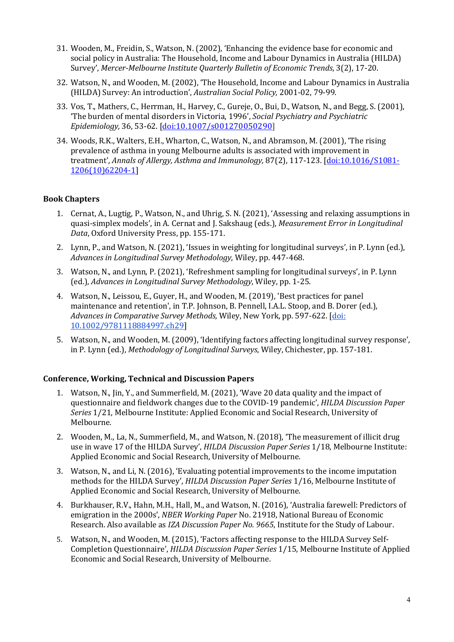- 31. Wooden, M., Freidin, S., Watson, N. (2002), 'Enhancing the evidence base for economic and social policy in Australia: The Household, Income and Labour Dynamics in Australia (HILDA) Survey', Mercer-Melbourne Institute Quarterly Bulletin of Economic Trends, 3(2), 17-20.
- 32. Watson, N., and Wooden, M. (2002), 'The Household, Income and Labour Dynamics in Australia (HILDA) Survey: An introduction', Australian Social Policy, 2001-02, 79-99.
- 33. Vos, T., Mathers, C., Herrman, H., Harvey, C., Gureje, O., Bui, D., Watson, N., and Begg, S. (2001), 'The burden of mental disorders in Victoria, 1996', Social Psychiatry and Psychiatric Epidemiology, 36, 53-62. [doi:10.1007/s001270050290]
- 34. Woods, R.K., Walters, E.H., Wharton, C., Watson, N., and Abramson, M. (2001), 'The rising prevalence of asthma in young Melbourne adults is associated with improvement in treatment', Annals of Allergy, Asthma and Immunology, 87(2), 117-123. [doi:10.1016/S1081-1206(10)62204-1]

### Book Chapters

- 1. Cernat, A., Lugtig, P., Watson, N., and Uhrig, S. N. (2021), 'Assessing and relaxing assumptions in quasi-simplex models', in A. Cernat and J. Sakshaug (eds.), Measurement Error in Longitudinal Data, Oxford University Press, pp. 155-171.
- 2. Lynn, P., and Watson, N. (2021), 'Issues in weighting for longitudinal surveys', in P. Lynn (ed.), Advances in Longitudinal Survey Methodology, Wiley, pp. 447-468.
- 3. Watson, N., and Lynn, P. (2021), 'Refreshment sampling for longitudinal surveys', in P. Lynn (ed.), Advances in Longitudinal Survey Methodology, Wiley, pp. 1-25.
- 4. Watson, N., Leissou, E., Guyer, H., and Wooden, M. (2019), 'Best practices for panel maintenance and retention', in T.P. Johnson, B. Pennell, I.A.L. Stoop, and B. Dorer (ed.), Advances in Comparative Survey Methods, Wiley, New York, pp. 597-622. [doi: 10.1002/9781118884997.ch29]
- 5. Watson, N., and Wooden, M. (2009), 'Identifying factors affecting longitudinal survey response', in P. Lynn (ed.), Methodology of Longitudinal Surveys, Wiley, Chichester, pp. 157-181.

#### Conference, Working, Technical and Discussion Papers

- 1. Watson, N., Jin, Y., and Summerfield, M. (2021), 'Wave 20 data quality and the impact of questionnaire and fieldwork changes due to the COVID-19 pandemic', HILDA Discussion Paper Series 1/21, Melbourne Institute: Applied Economic and Social Research, University of Melbourne.
- 2. Wooden, M., La, N., Summerfield, M., and Watson, N. (2018), 'The measurement of illicit drug use in wave 17 of the HILDA Survey', HILDA Discussion Paper Series 1/18, Melbourne Institute: Applied Economic and Social Research, University of Melbourne.
- 3. Watson, N., and Li, N. (2016), 'Evaluating potential improvements to the income imputation methods for the HILDA Survey', HILDA Discussion Paper Series 1/16, Melbourne Institute of Applied Economic and Social Research, University of Melbourne.
- 4. Burkhauser, R.V., Hahn, M.H., Hall, M., and Watson, N. (2016), 'Australia farewell: Predictors of emigration in the 2000s', NBER Working Paper No. 21918, National Bureau of Economic Research. Also available as IZA Discussion Paper No. 9665, Institute for the Study of Labour.
- 5. Watson, N., and Wooden, M. (2015), 'Factors affecting response to the HILDA Survey Self-Completion Questionnaire', HILDA Discussion Paper Series 1/15, Melbourne Institute of Applied Economic and Social Research, University of Melbourne.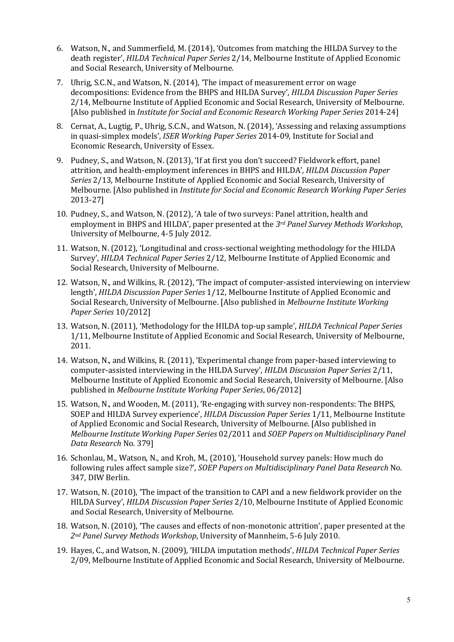- 6. Watson, N., and Summerfield, M. (2014), 'Outcomes from matching the HILDA Survey to the death register', HILDA Technical Paper Series 2/14, Melbourne Institute of Applied Economic and Social Research, University of Melbourne.
- 7. Uhrig, S.C.N., and Watson, N. (2014), 'The impact of measurement error on wage decompositions: Evidence from the BHPS and HILDA Survey', HILDA Discussion Paper Series 2/14, Melbourne Institute of Applied Economic and Social Research, University of Melbourne. [Also published in Institute for Social and Economic Research Working Paper Series 2014-24]
- 8. Cernat, A., Lugtig, P., Uhrig, S.C.N., and Watson, N. (2014), 'Assessing and relaxing assumptions in quasi-simplex models', ISER Working Paper Series 2014-09, Institute for Social and Economic Research, University of Essex.
- 9. Pudney, S., and Watson, N. (2013), 'If at first you don't succeed? Fieldwork effort, panel attrition, and health-employment inferences in BHPS and HILDA', HILDA Discussion Paper Series 2/13, Melbourne Institute of Applied Economic and Social Research, University of Melbourne. [Also published in Institute for Social and Economic Research Working Paper Series 2013-27]
- 10. Pudney, S., and Watson, N. (2012), 'A tale of two surveys: Panel attrition, health and employment in BHPS and HILDA', paper presented at the  $3<sup>rd</sup>$  Panel Survey Methods Workshop, University of Melbourne, 4-5 July 2012.
- 11. Watson, N. (2012), 'Longitudinal and cross-sectional weighting methodology for the HILDA Survey', HILDA Technical Paper Series 2/12, Melbourne Institute of Applied Economic and Social Research, University of Melbourne.
- 12. Watson, N., and Wilkins, R. (2012), 'The impact of computer-assisted interviewing on interview length', HILDA Discussion Paper Series 1/12, Melbourne Institute of Applied Economic and Social Research, University of Melbourne. [Also published in Melbourne Institute Working Paper Series 10/2012]
- 13. Watson, N. (2011), 'Methodology for the HILDA top-up sample', HILDA Technical Paper Series 1/11, Melbourne Institute of Applied Economic and Social Research, University of Melbourne, 2011.
- 14. Watson, N., and Wilkins, R. (2011), 'Experimental change from paper-based interviewing to computer-assisted interviewing in the HILDA Survey', HILDA Discussion Paper Series 2/11, Melbourne Institute of Applied Economic and Social Research, University of Melbourne. [Also published in Melbourne Institute Working Paper Series, 06/2012]
- 15. Watson, N., and Wooden, M. (2011), 'Re-engaging with survey non-respondents: The BHPS, SOEP and HILDA Survey experience', HILDA Discussion Paper Series 1/11, Melbourne Institute of Applied Economic and Social Research, University of Melbourne. [Also published in Melbourne Institute Working Paper Series 02/2011 and SOEP Papers on Multidisciplinary Panel Data Research No. 379]
- 16. Schonlau, M., Watson, N., and Kroh, M., (2010), 'Household survey panels: How much do following rules affect sample size?', SOEP Papers on Multidisciplinary Panel Data Research No. 347, DIW Berlin.
- 17. Watson, N. (2010), 'The impact of the transition to CAPI and a new fieldwork provider on the HILDA Survey', HILDA Discussion Paper Series 2/10, Melbourne Institute of Applied Economic and Social Research, University of Melbourne.
- 18. Watson, N. (2010), 'The causes and effects of non-monotonic attrition', paper presented at the 2nd Panel Survey Methods Workshop, University of Mannheim, 5-6 July 2010.
- 19. Hayes, C., and Watson, N. (2009), 'HILDA imputation methods', HILDA Technical Paper Series 2/09, Melbourne Institute of Applied Economic and Social Research, University of Melbourne.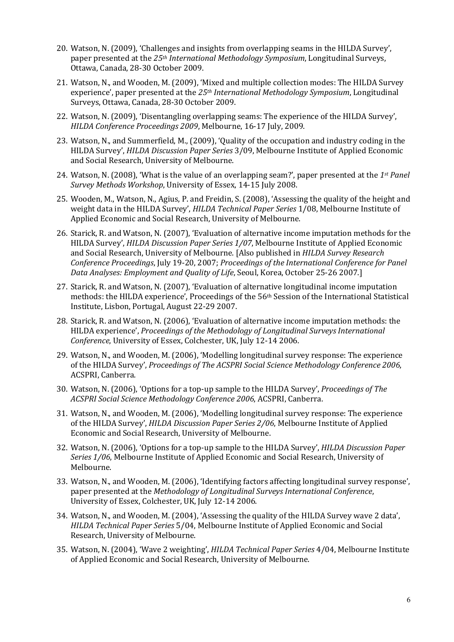- 20. Watson, N. (2009), 'Challenges and insights from overlapping seams in the HILDA Survey', paper presented at the  $25<sup>th</sup> International Methodology Symposium, Longitudinal Surveys,$ Ottawa, Canada, 28-30 October 2009.
- 21. Watson, N., and Wooden, M. (2009), 'Mixed and multiple collection modes: The HILDA Survey experience', paper presented at the 25<sup>th</sup> International Methodology Symposium, Longitudinal Surveys, Ottawa, Canada, 28-30 October 2009.
- 22. Watson, N. (2009), 'Disentangling overlapping seams: The experience of the HILDA Survey', HILDA Conference Proceedings 2009, Melbourne, 16-17 July, 2009.
- 23. Watson, N., and Summerfield, M., (2009), 'Quality of the occupation and industry coding in the HILDA Survey', HILDA Discussion Paper Series 3/09, Melbourne Institute of Applied Economic and Social Research, University of Melbourne.
- 24. Watson, N. (2008), 'What is the value of an overlapping seam?', paper presented at the 1<sup>st</sup> Panel Survey Methods Workshop, University of Essex, 14-15 July 2008.
- 25. Wooden, M., Watson, N., Agius, P. and Freidin, S. (2008), 'Assessing the quality of the height and weight data in the HILDA Survey', HILDA Technical Paper Series 1/08, Melbourne Institute of Applied Economic and Social Research, University of Melbourne.
- 26. Starick, R. and Watson, N. (2007), 'Evaluation of alternative income imputation methods for the HILDA Survey', HILDA Discussion Paper Series 1/07, Melbourne Institute of Applied Economic and Social Research, University of Melbourne. [Also published in HILDA Survey Research Conference Proceedings, July 19-20, 2007; Proceedings of the International Conference for Panel Data Analyses: Employment and Quality of Life, Seoul, Korea, October 25-26 2007.]
- 27. Starick, R. and Watson, N. (2007), 'Evaluation of alternative longitudinal income imputation methods: the HILDA experience', Proceedings of the 56<sup>th</sup> Session of the International Statistical Institute, Lisbon, Portugal, August 22-29 2007.
- 28. Starick, R. and Watson, N. (2006), 'Evaluation of alternative income imputation methods: the HILDA experience', Proceedings of the Methodology of Longitudinal Surveys International Conference, University of Essex, Colchester, UK, July 12-14 2006.
- 29. Watson, N., and Wooden, M. (2006), 'Modelling longitudinal survey response: The experience of the HILDA Survey', Proceedings of The ACSPRI Social Science Methodology Conference 2006, ACSPRI, Canberra.
- 30. Watson, N. (2006), 'Options for a top-up sample to the HILDA Survey', Proceedings of The ACSPRI Social Science Methodology Conference 2006, ACSPRI, Canberra.
- 31. Watson, N., and Wooden, M. (2006), 'Modelling longitudinal survey response: The experience of the HILDA Survey', HILDA Discussion Paper Series 2/06, Melbourne Institute of Applied Economic and Social Research, University of Melbourne.
- 32. Watson, N. (2006), 'Options for a top-up sample to the HILDA Survey', HILDA Discussion Paper Series 1/06, Melbourne Institute of Applied Economic and Social Research, University of Melbourne.
- 33. Watson, N., and Wooden, M. (2006), 'Identifying factors affecting longitudinal survey response', paper presented at the Methodology of Longitudinal Surveys International Conference, University of Essex, Colchester, UK, July 12-14 2006.
- 34. Watson, N., and Wooden, M. (2004), 'Assessing the quality of the HILDA Survey wave 2 data', HILDA Technical Paper Series 5/04, Melbourne Institute of Applied Economic and Social Research, University of Melbourne.
- 35. Watson, N. (2004), 'Wave 2 weighting', HILDA Technical Paper Series 4/04, Melbourne Institute of Applied Economic and Social Research, University of Melbourne.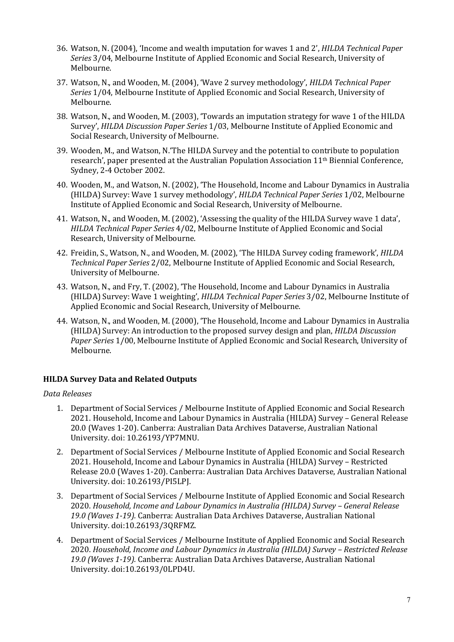- 36. Watson, N. (2004), 'Income and wealth imputation for waves 1 and 2', HILDA Technical Paper Series 3/04, Melbourne Institute of Applied Economic and Social Research, University of Melbourne.
- 37. Watson, N., and Wooden, M. (2004), 'Wave 2 survey methodology', HILDA Technical Paper Series 1/04, Melbourne Institute of Applied Economic and Social Research, University of Melbourne.
- 38. Watson, N., and Wooden, M. (2003), 'Towards an imputation strategy for wave 1 of the HILDA Survey', HILDA Discussion Paper Series 1/03, Melbourne Institute of Applied Economic and Social Research, University of Melbourne.
- 39. Wooden, M., and Watson, N.'The HILDA Survey and the potential to contribute to population research', paper presented at the Australian Population Association 11th Biennial Conference, Sydney, 2-4 October 2002.
- 40. Wooden, M., and Watson, N. (2002), 'The Household, Income and Labour Dynamics in Australia (HILDA) Survey: Wave 1 survey methodology', HILDA Technical Paper Series 1/02, Melbourne Institute of Applied Economic and Social Research, University of Melbourne.
- 41. Watson, N., and Wooden, M. (2002), 'Assessing the quality of the HILDA Survey wave 1 data', HILDA Technical Paper Series 4/02, Melbourne Institute of Applied Economic and Social Research, University of Melbourne.
- 42. Freidin, S., Watson, N., and Wooden, M. (2002), 'The HILDA Survey coding framework', HILDA Technical Paper Series 2/02, Melbourne Institute of Applied Economic and Social Research, University of Melbourne.
- 43. Watson, N., and Fry, T. (2002), 'The Household, Income and Labour Dynamics in Australia (HILDA) Survey: Wave 1 weighting', HILDA Technical Paper Series 3/02, Melbourne Institute of Applied Economic and Social Research, University of Melbourne.
- 44. Watson, N., and Wooden, M. (2000), 'The Household, Income and Labour Dynamics in Australia (HILDA) Survey: An introduction to the proposed survey design and plan, HILDA Discussion Paper Series 1/00, Melbourne Institute of Applied Economic and Social Research, University of Melbourne.

## HILDA Survey Data and Related Outputs

Data Releases

- 1. Department of Social Services / Melbourne Institute of Applied Economic and Social Research 2021. Household, Income and Labour Dynamics in Australia (HILDA) Survey – General Release 20.0 (Waves 1-20). Canberra: Australian Data Archives Dataverse, Australian National University. doi: 10.26193/YP7MNU.
- 2. Department of Social Services / Melbourne Institute of Applied Economic and Social Research 2021. Household, Income and Labour Dynamics in Australia (HILDA) Survey – Restricted Release 20.0 (Waves 1-20). Canberra: Australian Data Archives Dataverse, Australian National University. doi: 10.26193/PI5LPJ.
- 3. Department of Social Services / Melbourne Institute of Applied Economic and Social Research 2020. Household, Income and Labour Dynamics in Australia (HILDA) Survey – General Release 19.0 (Waves 1-19). Canberra: Australian Data Archives Dataverse, Australian National University. doi:10.26193/3QRFMZ.
- 4. Department of Social Services / Melbourne Institute of Applied Economic and Social Research 2020. Household, Income and Labour Dynamics in Australia (HILDA) Survey – Restricted Release 19.0 (Waves 1-19). Canberra: Australian Data Archives Dataverse, Australian National University. doi:10.26193/0LPD4U.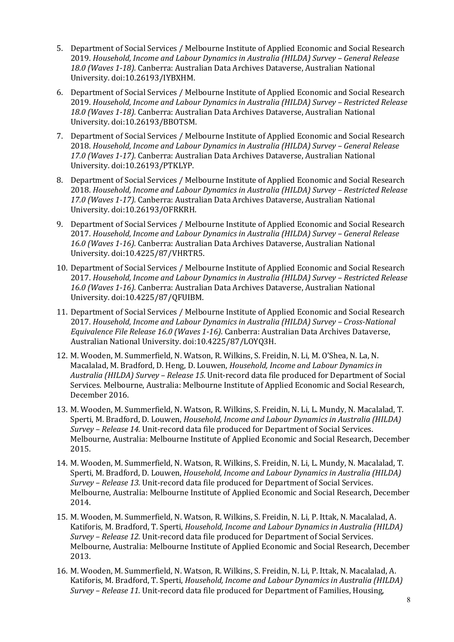- 5. Department of Social Services / Melbourne Institute of Applied Economic and Social Research 2019. Household, Income and Labour Dynamics in Australia (HILDA) Survey – General Release 18.0 (Waves 1-18). Canberra: Australian Data Archives Dataverse, Australian National University. doi:10.26193/IYBXHM.
- 6. Department of Social Services / Melbourne Institute of Applied Economic and Social Research 2019. Household, Income and Labour Dynamics in Australia (HILDA) Survey – Restricted Release 18.0 (Waves 1-18). Canberra: Australian Data Archives Dataverse, Australian National University. doi:10.26193/BBOTSM.
- 7. Department of Social Services / Melbourne Institute of Applied Economic and Social Research 2018. Household, Income and Labour Dynamics in Australia (HILDA) Survey – General Release 17.0 (Waves 1-17). Canberra: Australian Data Archives Dataverse, Australian National University. doi:10.26193/PTKLYP.
- 8. Department of Social Services / Melbourne Institute of Applied Economic and Social Research 2018. Household, Income and Labour Dynamics in Australia (HILDA) Survey – Restricted Release 17.0 (Waves 1-17). Canberra: Australian Data Archives Dataverse, Australian National University. doi:10.26193/OFRKRH.
- 9. Department of Social Services / Melbourne Institute of Applied Economic and Social Research 2017. Household, Income and Labour Dynamics in Australia (HILDA) Survey – General Release 16.0 (Waves 1-16). Canberra: Australian Data Archives Dataverse, Australian National University. doi:10.4225/87/VHRTR5.
- 10. Department of Social Services / Melbourne Institute of Applied Economic and Social Research 2017. Household, Income and Labour Dynamics in Australia (HILDA) Survey – Restricted Release 16.0 (Waves 1-16). Canberra: Australian Data Archives Dataverse, Australian National University. doi:10.4225/87/QFUIBM.
- 11. Department of Social Services / Melbourne Institute of Applied Economic and Social Research 2017. Household, Income and Labour Dynamics in Australia (HILDA) Survey – Cross-National Equivalence File Release 16.0 (Waves 1-16). Canberra: Australian Data Archives Dataverse, Australian National University. doi:10.4225/87/LOYQ3H.
- 12. M. Wooden, M. Summerfield, N. Watson, R. Wilkins, S. Freidin, N. Li, M. O'Shea, N. La, N. Macalalad, M. Bradford, D. Heng, D. Louwen, Household, Income and Labour Dynamics in Australia (HILDA) Survey – Release 15. Unit-record data file produced for Department of Social Services. Melbourne, Australia: Melbourne Institute of Applied Economic and Social Research, December 2016.
- 13. M. Wooden, M. Summerfield, N. Watson, R. Wilkins, S. Freidin, N. Li, L. Mundy, N. Macalalad, T. Sperti, M. Bradford, D. Louwen, Household, Income and Labour Dynamics in Australia (HILDA) Survey – Release 14. Unit-record data file produced for Department of Social Services. Melbourne, Australia: Melbourne Institute of Applied Economic and Social Research, December 2015.
- 14. M. Wooden, M. Summerfield, N. Watson, R. Wilkins, S. Freidin, N. Li, L. Mundy, N. Macalalad, T. Sperti, M. Bradford, D. Louwen, Household, Income and Labour Dynamics in Australia (HILDA) Survey – Release 13. Unit-record data file produced for Department of Social Services. Melbourne, Australia: Melbourne Institute of Applied Economic and Social Research, December 2014.
- 15. M. Wooden, M. Summerfield, N. Watson, R. Wilkins, S. Freidin, N. Li, P. Ittak, N. Macalalad, A. Katiforis, M. Bradford, T. Sperti, Household, Income and Labour Dynamics in Australia (HILDA) Survey – Release 12. Unit-record data file produced for Department of Social Services. Melbourne, Australia: Melbourne Institute of Applied Economic and Social Research, December 2013.
- 16. M. Wooden, M. Summerfield, N. Watson, R. Wilkins, S. Freidin, N. Li, P. Ittak, N. Macalalad, A. Katiforis, M. Bradford, T. Sperti, Household, Income and Labour Dynamics in Australia (HILDA) Survey – Release 11. Unit-record data file produced for Department of Families, Housing,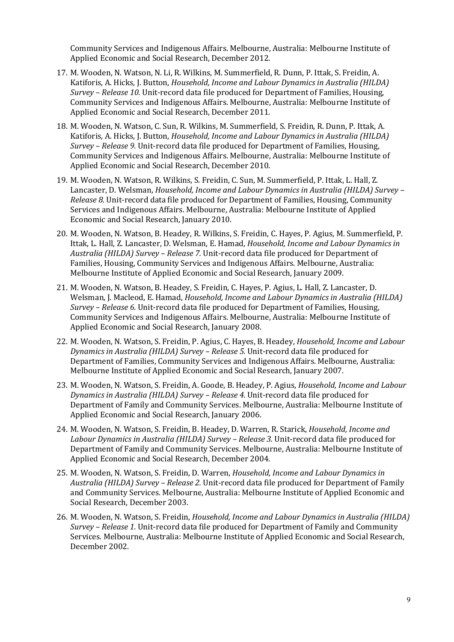Community Services and Indigenous Affairs. Melbourne, Australia: Melbourne Institute of Applied Economic and Social Research, December 2012.

- 17. M. Wooden, N. Watson, N. Li, R. Wilkins, M. Summerfield, R. Dunn, P. Ittak, S. Freidin, A. Katiforis, A. Hicks, J. Button, Household, Income and Labour Dynamics in Australia (HILDA) Survey – Release 10. Unit-record data file produced for Department of Families, Housing, Community Services and Indigenous Affairs. Melbourne, Australia: Melbourne Institute of Applied Economic and Social Research, December 2011.
- 18. M. Wooden, N. Watson, C. Sun, R. Wilkins, M. Summerfield, S. Freidin, R. Dunn, P. Ittak, A. Katiforis, A. Hicks, J. Button, Household, Income and Labour Dynamics in Australia (HILDA) Survey – Release 9. Unit-record data file produced for Department of Families, Housing, Community Services and Indigenous Affairs. Melbourne, Australia: Melbourne Institute of Applied Economic and Social Research, December 2010.
- 19. M. Wooden, N. Watson, R. Wilkins, S. Freidin, C. Sun, M. Summerfield, P. Ittak, L. Hall, Z. Lancaster, D. Welsman, Household, Income and Labour Dynamics in Australia (HILDA) Survey – Release 8. Unit-record data file produced for Department of Families, Housing, Community Services and Indigenous Affairs. Melbourne, Australia: Melbourne Institute of Applied Economic and Social Research, January 2010.
- 20. M. Wooden, N. Watson, B. Headey, R. Wilkins, S. Freidin, C. Hayes, P. Agius, M. Summerfield, P. Ittak, L. Hall, Z. Lancaster, D. Welsman, E. Hamad, Household, Income and Labour Dynamics in Australia (HILDA) Survey – Release 7. Unit-record data file produced for Department of Families, Housing, Community Services and Indigenous Affairs. Melbourne, Australia: Melbourne Institute of Applied Economic and Social Research, January 2009.
- 21. M. Wooden, N. Watson, B. Headey, S. Freidin, C. Hayes, P. Agius, L. Hall, Z. Lancaster, D. Welsman, J. Macleod, E. Hamad, Household, Income and Labour Dynamics in Australia (HILDA) Survey – Release 6. Unit-record data file produced for Department of Families, Housing, Community Services and Indigenous Affairs. Melbourne, Australia: Melbourne Institute of Applied Economic and Social Research, January 2008.
- 22. M. Wooden, N. Watson, S. Freidin, P. Agius, C. Hayes, B. Headey, Household, Income and Labour Dynamics in Australia (HILDA) Survey – Release 5. Unit-record data file produced for Department of Families, Community Services and Indigenous Affairs. Melbourne, Australia: Melbourne Institute of Applied Economic and Social Research, January 2007.
- 23. M. Wooden, N. Watson, S. Freidin, A. Goode, B. Headey, P. Agius, Household, Income and Labour Dynamics in Australia (HILDA) Survey – Release 4. Unit-record data file produced for Department of Family and Community Services. Melbourne, Australia: Melbourne Institute of Applied Economic and Social Research, January 2006.
- 24. M. Wooden, N. Watson, S. Freidin, B. Headey, D. Warren, R. Starick, Household, Income and Labour Dynamics in Australia (HILDA) Survey – Release 3. Unit-record data file produced for Department of Family and Community Services. Melbourne, Australia: Melbourne Institute of Applied Economic and Social Research, December 2004.
- 25. M. Wooden, N. Watson, S. Freidin, D. Warren, Household, Income and Labour Dynamics in Australia (HILDA) Survey – Release 2. Unit-record data file produced for Department of Family and Community Services. Melbourne, Australia: Melbourne Institute of Applied Economic and Social Research, December 2003.
- 26. M. Wooden, N. Watson, S. Freidin, Household, Income and Labour Dynamics in Australia (HILDA) Survey – Release 1. Unit-record data file produced for Department of Family and Community Services. Melbourne, Australia: Melbourne Institute of Applied Economic and Social Research, December 2002.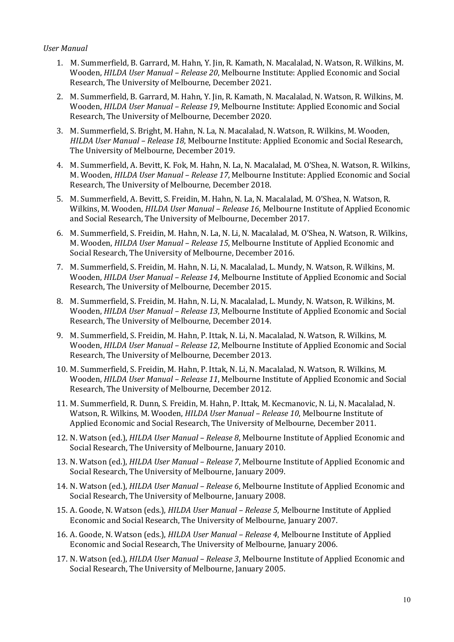#### User Manual

- 1. M. Summerfield, B. Garrard, M. Hahn, Y. Jin, R. Kamath, N. Macalalad, N. Watson, R. Wilkins, M. Wooden, HILDA User Manual – Release 20, Melbourne Institute: Applied Economic and Social Research, The University of Melbourne, December 2021.
- 2. M. Summerfield, B. Garrard, M. Hahn, Y. Jin, R. Kamath, N. Macalalad, N. Watson, R. Wilkins, M. Wooden, HILDA User Manual – Release 19, Melbourne Institute: Applied Economic and Social Research, The University of Melbourne, December 2020.
- 3. M. Summerfield, S. Bright, M. Hahn, N. La, N. Macalalad, N. Watson, R. Wilkins, M. Wooden, HILDA User Manual – Release 18, Melbourne Institute: Applied Economic and Social Research, The University of Melbourne, December 2019.
- 4. M. Summerfield, A. Bevitt, K. Fok, M. Hahn, N. La, N. Macalalad, M. O'Shea, N. Watson, R. Wilkins, M. Wooden, HILDA User Manual – Release 17, Melbourne Institute: Applied Economic and Social Research, The University of Melbourne, December 2018.
- 5. M. Summerfield, A. Bevitt, S. Freidin, M. Hahn, N. La, N. Macalalad, M. O'Shea, N. Watson, R. Wilkins, M. Wooden, HILDA User Manual – Release 16, Melbourne Institute of Applied Economic and Social Research, The University of Melbourne, December 2017.
- 6. M. Summerfield, S. Freidin, M. Hahn, N. La, N. Li, N. Macalalad, M. O'Shea, N. Watson, R. Wilkins, M. Wooden, HILDA User Manual – Release 15, Melbourne Institute of Applied Economic and Social Research, The University of Melbourne, December 2016.
- 7. M. Summerfield, S. Freidin, M. Hahn, N. Li, N. Macalalad, L. Mundy, N. Watson, R. Wilkins, M. Wooden, HILDA User Manual – Release 14, Melbourne Institute of Applied Economic and Social Research, The University of Melbourne, December 2015.
- 8. M. Summerfield, S. Freidin, M. Hahn, N. Li, N. Macalalad, L. Mundy, N. Watson, R. Wilkins, M. Wooden, HILDA User Manual – Release 13, Melbourne Institute of Applied Economic and Social Research, The University of Melbourne, December 2014.
- 9. M. Summerfield, S. Freidin, M. Hahn, P. Ittak, N. Li, N. Macalalad, N. Watson, R. Wilkins, M. Wooden, HILDA User Manual – Release 12, Melbourne Institute of Applied Economic and Social Research, The University of Melbourne, December 2013.
- 10. M. Summerfield, S. Freidin, M. Hahn, P. Ittak, N. Li, N. Macalalad, N. Watson, R. Wilkins, M. Wooden, HILDA User Manual – Release 11, Melbourne Institute of Applied Economic and Social Research, The University of Melbourne, December 2012.
- 11. M. Summerfield, R. Dunn, S. Freidin, M. Hahn, P. Ittak, M. Kecmanovic, N. Li, N. Macalalad, N. Watson, R. Wilkins, M. Wooden, HILDA User Manual - Release 10, Melbourne Institute of Applied Economic and Social Research, The University of Melbourne, December 2011.
- 12. N. Watson (ed.), HILDA User Manual Release 8, Melbourne Institute of Applied Economic and Social Research, The University of Melbourne, January 2010.
- 13. N. Watson (ed.), *HILDA User Manual Release 7*, Melbourne Institute of Applied Economic and Social Research, The University of Melbourne, January 2009.
- 14. N. Watson (ed.), HILDA User Manual Release 6, Melbourne Institute of Applied Economic and Social Research, The University of Melbourne, January 2008.
- 15. A. Goode, N. Watson (eds.), *HILDA User Manual Release 5*, Melbourne Institute of Applied Economic and Social Research, The University of Melbourne, January 2007.
- 16. A. Goode, N. Watson (eds.), *HILDA User Manual Release 4*, Melbourne Institute of Applied Economic and Social Research, The University of Melbourne, January 2006.
- 17. N. Watson (ed.), HILDA User Manual Release 3, Melbourne Institute of Applied Economic and Social Research, The University of Melbourne, January 2005.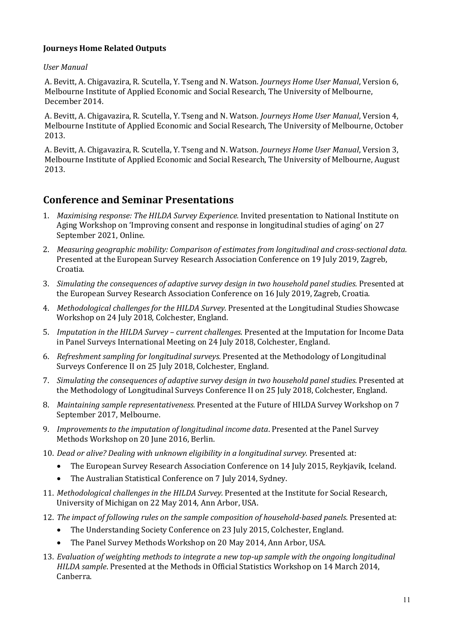### Journeys Home Related Outputs

#### User Manual

A. Bevitt, A. Chigavazira, R. Scutella, Y. Tseng and N. Watson. Journeys Home User Manual, Version 6, Melbourne Institute of Applied Economic and Social Research, The University of Melbourne, December 2014.

A. Bevitt, A. Chigavazira, R. Scutella, Y. Tseng and N. Watson. Journeys Home User Manual, Version 4, Melbourne Institute of Applied Economic and Social Research, The University of Melbourne, October 2013.

A. Bevitt, A. Chigavazira, R. Scutella, Y. Tseng and N. Watson. Journeys Home User Manual, Version 3, Melbourne Institute of Applied Economic and Social Research, The University of Melbourne, August 2013.

## Conference and Seminar Presentations

- 1. Maximising response: The HILDA Survey Experience. Invited presentation to National Institute on Aging Workshop on 'Improving consent and response in longitudinal studies of aging' on 27 September 2021, Online.
- 2. Measuring geographic mobility: Comparison of estimates from longitudinal and cross-sectional data. Presented at the European Survey Research Association Conference on 19 July 2019, Zagreb, Croatia.
- 3. Simulating the consequences of adaptive survey design in two household panel studies. Presented at the European Survey Research Association Conference on 16 July 2019, Zagreb, Croatia.
- 4. Methodological challenges for the HILDA Survey. Presented at the Longitudinal Studies Showcase Workshop on 24 July 2018, Colchester, England.
- 5. Imputation in the HILDA Survey current challenges. Presented at the Imputation for Income Data in Panel Surveys International Meeting on 24 July 2018, Colchester, England.
- 6. Refreshment sampling for longitudinal surveys. Presented at the Methodology of Longitudinal Surveys Conference II on 25 July 2018, Colchester, England.
- 7. Simulating the consequences of adaptive survey design in two household panel studies. Presented at the Methodology of Longitudinal Surveys Conference II on 25 July 2018, Colchester, England.
- 8. Maintaining sample representativeness. Presented at the Future of HILDA Survey Workshop on 7 September 2017, Melbourne.
- 9. Improvements to the imputation of longitudinal income data. Presented at the Panel Survey Methods Workshop on 20 June 2016, Berlin.
- 10. Dead or alive? Dealing with unknown eligibility in a longitudinal survey. Presented at:
	- The European Survey Research Association Conference on 14 July 2015, Reykjavik, Iceland.
	- The Australian Statistical Conference on 7 July 2014, Sydney.
- 11. Methodological challenges in the HILDA Survey. Presented at the Institute for Social Research, University of Michigan on 22 May 2014, Ann Arbor, USA.
- 12. The impact of following rules on the sample composition of household-based panels. Presented at:
	- The Understanding Society Conference on 23 July 2015, Colchester, England.
	- The Panel Survey Methods Workshop on 20 May 2014, Ann Arbor, USA.
- 13. Evaluation of weighting methods to integrate a new top-up sample with the ongoing longitudinal HILDA sample. Presented at the Methods in Official Statistics Workshop on 14 March 2014, Canberra.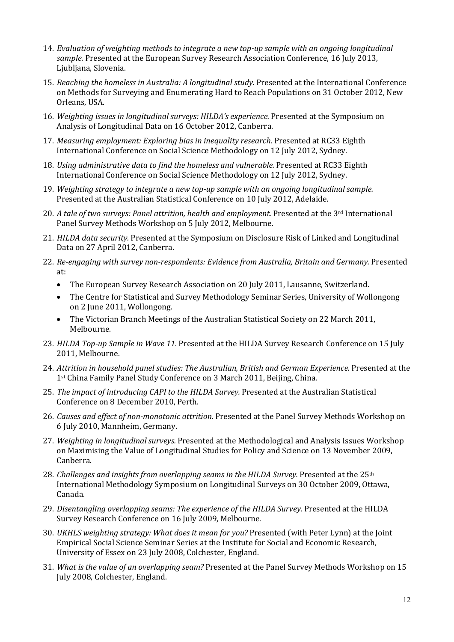- 14. Evaluation of weighting methods to integrate a new top-up sample with an ongoing longitudinal sample. Presented at the European Survey Research Association Conference, 16 July 2013, Ljubljana, Slovenia.
- 15. Reaching the homeless in Australia: A longitudinal study. Presented at the International Conference on Methods for Surveying and Enumerating Hard to Reach Populations on 31 October 2012, New Orleans, USA.
- 16. Weighting issues in longitudinal surveys: HILDA's experience. Presented at the Symposium on Analysis of Longitudinal Data on 16 October 2012, Canberra.
- 17. Measuring employment: Exploring bias in inequality research. Presented at RC33 Eighth International Conference on Social Science Methodology on 12 July 2012, Sydney.
- 18. Using administrative data to find the homeless and vulnerable. Presented at RC33 Eighth International Conference on Social Science Methodology on 12 July 2012, Sydney.
- 19. Weighting strategy to integrate a new top-up sample with an ongoing longitudinal sample. Presented at the Australian Statistical Conference on 10 July 2012, Adelaide.
- 20. A tale of two surveys: Panel attrition, health and employment. Presented at the 3<sup>rd</sup> International Panel Survey Methods Workshop on 5 July 2012, Melbourne.
- 21. HILDA data security. Presented at the Symposium on Disclosure Risk of Linked and Longitudinal Data on 27 April 2012, Canberra.
- 22. Re-engaging with survey non-respondents: Evidence from Australia, Britain and Germany. Presented at:
	- The European Survey Research Association on 20 July 2011, Lausanne, Switzerland.
	- The Centre for Statistical and Survey Methodology Seminar Series, University of Wollongong on 2 June 2011, Wollongong.
	- The Victorian Branch Meetings of the Australian Statistical Society on 22 March 2011, Melbourne.
- 23. HILDA Top-up Sample in Wave 11. Presented at the HILDA Survey Research Conference on 15 July 2011, Melbourne.
- 24. Attrition in household panel studies: The Australian, British and German Experience. Presented at the 1st China Family Panel Study Conference on 3 March 2011, Beijing, China.
- 25. The impact of introducing CAPI to the HILDA Survey. Presented at the Australian Statistical Conference on 8 December 2010, Perth.
- 26. Causes and effect of non-monotonic attrition. Presented at the Panel Survey Methods Workshop on 6 July 2010, Mannheim, Germany.
- 27. Weighting in longitudinal surveys. Presented at the Methodological and Analysis Issues Workshop on Maximising the Value of Longitudinal Studies for Policy and Science on 13 November 2009, Canberra.
- 28. Challenges and insights from overlapping seams in the HILDA Survey. Presented at the  $25<sup>th</sup>$ International Methodology Symposium on Longitudinal Surveys on 30 October 2009, Ottawa, Canada.
- 29. Disentangling overlapping seams: The experience of the HILDA Survey. Presented at the HILDA Survey Research Conference on 16 July 2009, Melbourne.
- 30. UKHLS weighting strategy: What does it mean for you? Presented (with Peter Lynn) at the Joint Empirical Social Science Seminar Series at the Institute for Social and Economic Research, University of Essex on 23 July 2008, Colchester, England.
- 31. What is the value of an overlapping seam? Presented at the Panel Survey Methods Workshop on 15 July 2008, Colchester, England.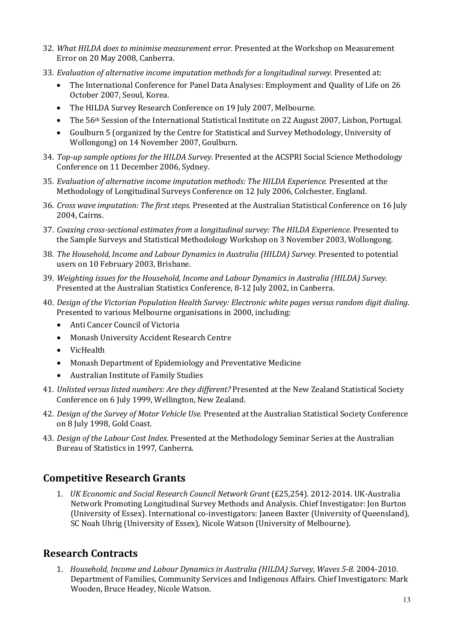- 32. What HILDA does to minimise measurement error. Presented at the Workshop on Measurement Error on 20 May 2008, Canberra.
- 33. Evaluation of alternative income imputation methods for a longitudinal survey. Presented at:
	- The International Conference for Panel Data Analyses: Employment and Quality of Life on 26 October 2007, Seoul, Korea.
	- The HILDA Survey Research Conference on 19 July 2007, Melbourne.
	- The 56<sup>th</sup> Session of the International Statistical Institute on 22 August 2007, Lisbon, Portugal.
	- Goulburn 5 (organized by the Centre for Statistical and Survey Methodology, University of Wollongong) on 14 November 2007, Goulburn.
- 34. Top-up sample options for the HILDA Survey. Presented at the ACSPRI Social Science Methodology Conference on 11 December 2006, Sydney.
- 35. Evaluation of alternative income imputation methods: The HILDA Experience. Presented at the Methodology of Longitudinal Surveys Conference on 12 July 2006, Colchester, England.
- 36. Cross wave imputation: The first steps. Presented at the Australian Statistical Conference on 16 July 2004, Cairns.
- 37. Coaxing cross-sectional estimates from a longitudinal survey: The HILDA Experience. Presented to the Sample Surveys and Statistical Methodology Workshop on 3 November 2003, Wollongong.
- 38. The Household, Income and Labour Dynamics in Australia (HILDA) Survey. Presented to potential users on 10 February 2003, Brisbane.
- 39. Weighting issues for the Household, Income and Labour Dynamics in Australia (HILDA) Survey. Presented at the Australian Statistics Conference, 8-12 July 2002, in Canberra.
- 40. Design of the Victorian Population Health Survey: Electronic white pages versus random digit dialing. Presented to various Melbourne organisations in 2000, including:
	- Anti Cancer Council of Victoria
	- Monash University Accident Research Centre
	- VicHealth
	- Monash Department of Epidemiology and Preventative Medicine
	- Australian Institute of Family Studies
- 41. Unlisted versus listed numbers: Are they different? Presented at the New Zealand Statistical Society Conference on 6 July 1999, Wellington, New Zealand.
- 42. Design of the Survey of Motor Vehicle Use. Presented at the Australian Statistical Society Conference on 8 July 1998, Gold Coast.
- 43. Design of the Labour Cost Index. Presented at the Methodology Seminar Series at the Australian Bureau of Statistics in 1997, Canberra.

# Competitive Research Grants

1. UK Economic and Social Research Council Network Grant (£25,254). 2012-2014. UK-Australia Network Promoting Longitudinal Survey Methods and Analysis. Chief Investigator: Jon Burton (University of Essex). International co-investigators: Janeen Baxter (University of Queensland), SC Noah Uhrig (University of Essex), Nicole Watson (University of Melbourne).

## Research Contracts

1. Household, Income and Labour Dynamics in Australia (HILDA) Survey, Waves 5-8. 2004-2010. Department of Families, Community Services and Indigenous Affairs. Chief Investigators: Mark Wooden, Bruce Headey, Nicole Watson.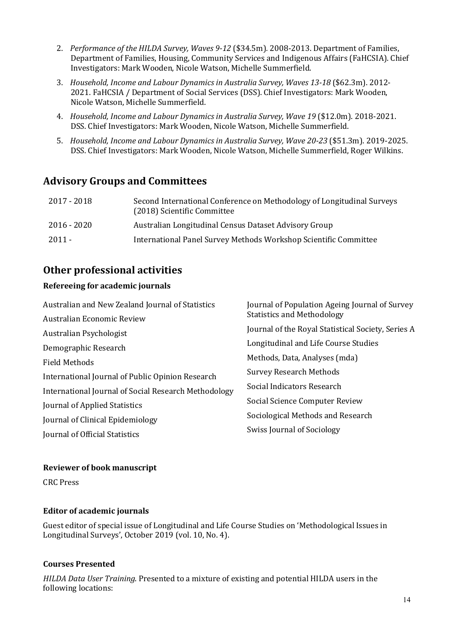- 2. Performance of the HILDA Survey, Waves 9-12 (\$34.5m), 2008-2013. Department of Families, Department of Families, Housing, Community Services and Indigenous Affairs (FaHCSIA). Chief Investigators: Mark Wooden, Nicole Watson, Michelle Summerfield.
- 3. Household, Income and Labour Dynamics in Australia Survey, Waves 13-18 (\$62.3m). 2012- 2021. FaHCSIA / Department of Social Services (DSS). Chief Investigators: Mark Wooden, Nicole Watson, Michelle Summerfield.
- 4. Household, Income and Labour Dynamics in Australia Survey, Wave 19 (\$12.0m). 2018-2021. DSS. Chief Investigators: Mark Wooden, Nicole Watson, Michelle Summerfield.
- 5. Household, Income and Labour Dynamics in Australia Survey, Wave 20-23 (\$51.3m). 2019-2025. DSS. Chief Investigators: Mark Wooden, Nicole Watson, Michelle Summerfield, Roger Wilkins.

# Advisory Groups and Committees

| 2017 - 2018   | Second International Conference on Methodology of Longitudinal Surveys<br>(2018) Scientific Committee |
|---------------|-------------------------------------------------------------------------------------------------------|
| $2016 - 2020$ | Australian Longitudinal Census Dataset Advisory Group                                                 |
| 2011 -        | International Panel Survey Methods Workshop Scientific Committee                                      |

# Other professional activities

## Refereeing for academic journals

| Australian and New Zealand Journal of Statistics     | Journal of Population Ageing Journal of Survey<br><b>Statistics and Methodology</b> |
|------------------------------------------------------|-------------------------------------------------------------------------------------|
| Australian Economic Review                           |                                                                                     |
| Australian Psychologist                              | Journal of the Royal Statistical Society, Series A                                  |
| Demographic Research                                 | Longitudinal and Life Course Studies                                                |
| <b>Field Methods</b>                                 | Methods, Data, Analyses (mda)                                                       |
| International Journal of Public Opinion Research     | <b>Survey Research Methods</b>                                                      |
| International Journal of Social Research Methodology | Social Indicators Research                                                          |
| Journal of Applied Statistics                        | Social Science Computer Review                                                      |
| Journal of Clinical Epidemiology                     | Sociological Methods and Research                                                   |
| Journal of Official Statistics                       | <b>Swiss Journal of Sociology</b>                                                   |

#### Reviewer of book manuscript

CRC Press

## Editor of academic journals

Guest editor of special issue of Longitudinal and Life Course Studies on 'Methodological Issues in Longitudinal Surveys', October 2019 (vol. 10, No. 4).

## Courses Presented

HILDA Data User Training. Presented to a mixture of existing and potential HILDA users in the following locations: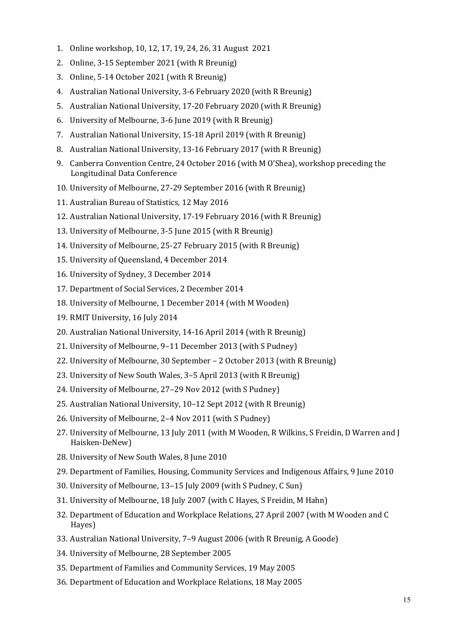- 1. Online workshop, 10, 12, 17, 19, 24, 26, 31 August 2021
- 2. Online, 3-15 September 2021 (with R Breunig)
- 3. Online, 5-14 October 2021 (with R Breunig)
- 4. Australian National University, 3-6 February 2020 (with R Breunig)
- 5. Australian National University, 17-20 February 2020 (with R Breunig)
- 6. University of Melbourne, 3-6 June 2019 (with R Breunig)
- 7. Australian National University, 15-18 April 2019 (with R Breunig)
- 8. Australian National University, 13-16 February 2017 (with R Breunig)
- 9. Canberra Convention Centre, 24 October 2016 (with M O'Shea), workshop preceding the Longitudinal Data Conference
- 10. University of Melbourne, 27-29 September 2016 (with R Breunig)
- 11. Australian Bureau of Statistics, 12 May 2016
- 12. Australian National University, 17-19 February 2016 (with R Breunig)
- 13. University of Melbourne, 3-5 June 2015 (with R Breunig)
- 14. University of Melbourne, 25-27 February 2015 (with R Breunig)
- 15. University of Queensland, 4 December 2014
- 16. University of Sydney, 3 December 2014
- 17. Department of Social Services, 2 December 2014
- 18. University of Melbourne, 1 December 2014 (with M Wooden)
- 19. RMIT University, 16 July 2014
- 20. Australian National University, 14-16 April 2014 (with R Breunig)
- 21. University of Melbourne, 9–11 December 2013 (with S Pudney)
- 22. University of Melbourne, 30 September 2 October 2013 (with R Breunig)
- 23. University of New South Wales, 3–5 April 2013 (with R Breunig)
- 24. University of Melbourne, 27–29 Nov 2012 (with S Pudney)
- 25. Australian National University, 10–12 Sept 2012 (with R Breunig)
- 26. University of Melbourne, 2–4 Nov 2011 (with S Pudney)
- 27. University of Melbourne, 13 July 2011 (with M Wooden, R Wilkins, S Freidin, D Warren and J Haisken-DeNew)
- 28. University of New South Wales, 8 June 2010
- 29. Department of Families, Housing, Community Services and Indigenous Affairs, 9 June 2010
- 30. University of Melbourne, 13–15 July 2009 (with S Pudney, C Sun)
- 31. University of Melbourne, 18 July 2007 (with C Hayes, S Freidin, M Hahn)
- 32. Department of Education and Workplace Relations, 27 April 2007 (with M Wooden and C Hayes)
- 33. Australian National University, 7–9 August 2006 (with R Breunig, A Goode)
- 34. University of Melbourne, 28 September 2005
- 35. Department of Families and Community Services, 19 May 2005
- 36. Department of Education and Workplace Relations, 18 May 2005